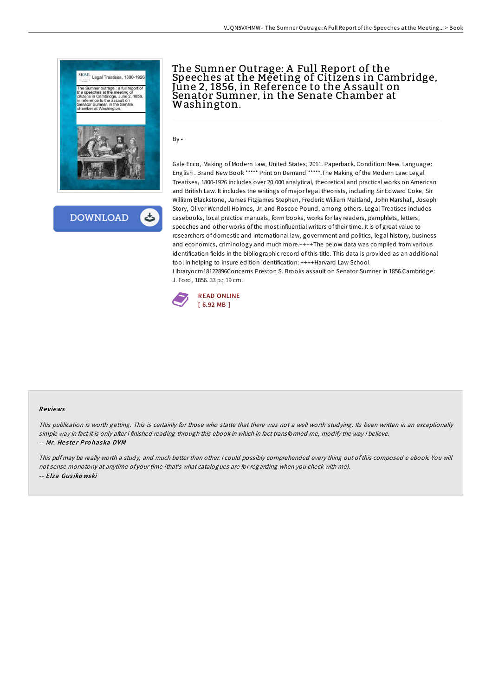



# The Sumner Outrage: A Full Report of the Speeches at the Meeting of Citizens in Cambridge, June 2, 1856, in Reference to the A ssault on Senator Sumner, in the Senate Chamber at Washington.

By -

Gale Ecco, Making of Modern Law, United States, 2011. Paperback. Condition: New. Language: English . Brand New Book \*\*\*\*\* Print on Demand \*\*\*\*\*.The Making of the Modern Law: Legal Treatises, 1800-1926 includes over 20,000 analytical, theoretical and practical works on American and British Law. It includes the writings of major legal theorists, including Sir Edward Coke, Sir William Blackstone, James Fitzjames Stephen, Frederic William Maitland, John Marshall, Joseph Story, Oliver Wendell Holmes, Jr. and Roscoe Pound, among others. Legal Treatises includes casebooks, local practice manuals, form books, works for lay readers, pamphlets, letters, speeches and other works of the most influential writers of their time. It is of great value to researchers of domestic and international law, government and politics, legal history, business and economics, criminology and much more.++++The below data was compiled from various identification fields in the bibliographic record of this title. This data is provided as an additional tool in helping to insure edition identification: ++++Harvard Law School Libraryocm18122896Concerns Preston S. Brooks assault on Senator Sumner in 1856.Cambridge: J. Ford, 1856. 33 p.; 19 cm.



#### Re views

This publication is worth getting. This is certainly for those who statte that there was not <sup>a</sup> well worth studying. Its been written in an exceptionally simple way in fact it is only after i finished reading through this ebook in which in fact transformed me, modify the way i believe. -- Mr. Hester Prohaska DVM

This pdf may be really worth <sup>a</sup> study, and much better than other. <sup>I</sup> could possibly comprehended every thing out of this composed <sup>e</sup> ebook. You will not sense monotony at anytime of your time (that's what catalogues are for regarding when you check with me). -- Elza Gus iko wski